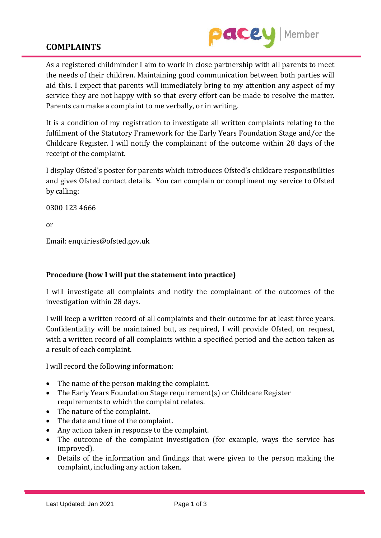

## **COMPLAINTS**

As a registered childminder I aim to work in close partnership with all parents to meet the needs of their children. Maintaining good communication between both parties will aid this. I expect that parents will immediately bring to my attention any aspect of my service they are not happy with so that every effort can be made to resolve the matter. Parents can make a complaint to me verbally, or in writing.

It is a condition of my registration to investigate all written complaints relating to the fulfilment of the Statutory Framework for the Early Years Foundation Stage and/or the Childcare Register. I will notify the complainant of the outcome within 28 days of the receipt of the complaint.

I display Ofsted's poster for parents which introduces Ofsted's childcare responsibilities and gives Ofsted contact details. You can complain or compliment my service to Ofsted by calling:

0300 123 4666

or

Email: enquiries@ofsted.gov.uk

## **Procedure (how I will put the statement into practice)**

I will investigate all complaints and notify the complainant of the outcomes of the investigation within 28 days.

I will keep a written record of all complaints and their outcome for at least three years. Confidentiality will be maintained but, as required, I will provide Ofsted, on request, with a written record of all complaints within a specified period and the action taken as a result of each complaint.

I will record the following information:

- The name of the person making the complaint.
- The Early Years Foundation Stage requirement(s) or Childcare Register requirements to which the complaint relates.
- The nature of the complaint.
- The date and time of the complaint.
- Any action taken in response to the complaint.
- The outcome of the complaint investigation (for example, ways the service has improved).
- Details of the information and findings that were given to the person making the complaint, including any action taken.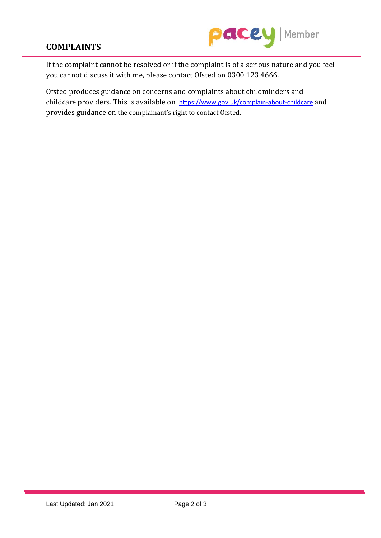

## **COMPLAINTS**

If the complaint cannot be resolved or if the complaint is of a serious nature and you feel you cannot discuss it with me, please contact Ofsted on 0300 123 4666.

Ofsted produces guidance on concerns and complaints about childminders and childcare providers. This is available on <https://www.gov.uk/complain-about-childcare> and provides guidance on the complainant's right to contact Ofsted.